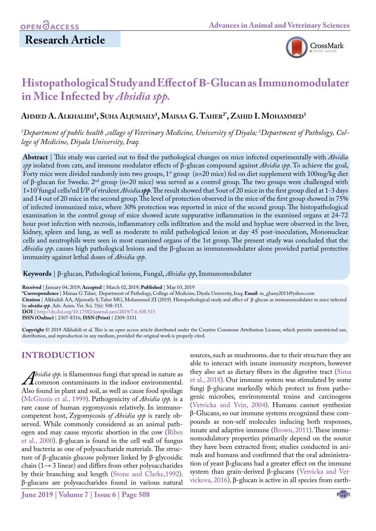

# **Histopathological Study and Effect of Β-Glucan as Immunomodulater in Mice Infected by** *Absidia spp.*

## **Ahmed A. Alkhalidi1 , Suha Aljumaily1 , Maisaa G. Taher2\*, Zahid I. Mohammed1**

*1 Department of public health ,collage of Veterinary Medicine, University of Diyala; 2 Department of Pathology, College of Medicine, Diyala University, Iraq.*

**Abstract** | This study was carried out to find the pathological changes on mice infected experimentally with *Absidia spp* isolated from cats, and immune modulator effects of β-glucan compound against *Absidia spp*. To achieve the goal, Forty mice were divided randomly into two groups, 1<sup>st</sup> group (n=20 mice) fed on diet supplement with 100mg/kg diet of β-glucan for 5weeks. 2nd group (n=20 mice) was served as a control group. The two groups were challenged with 1×107 fungal cells/ml I/P of virulent *Absidia spp*. The result showed that 5out of 20 mice in the first group died at 1-3 days and 14 out of 20 mice in the second group. The level of protection observed in the mice of the first group showed in 75% of infected immunized mice, where 30% protection was reported in mice of the second group. The histopathological examination in the control group of mice showed acute suppurative inflammation in the examined organs at 24-72 hour post infection with necrosis, inflammatory cells infiltration and the mold and hyphae were observed in the liver, kidney, spleen and lung, as well as moderate to mild pathological lesion at day 45 post-inoculation, Mononuclear cells and neutrophils were seen in most examined organs of the 1st group. The present study was concluded that the *Absidia spp*. causes high pathological lesions and the β-glucan as immunomodulater alone provided partial protective immunity against lethal doses of *Absidia spp*.

**Keywords** | β-glucan*,* Pathological lesions, Fungal, *Absidia spp*, Immunomodulater

**Received** | January 04, 2019; **Accepted** | March 02, 2019; **Published** | May 03, 2019

**\*Correspondence** | Maisaa G Taher, Department of Pathology, College of Medicine, Diyala University, Iraq; **Email**: m\_ghany2011@yahoo.com

**Citation** | Alkhalidi AA, Aljumaily S, Taher MG, Mohammed ZI (2019). Histopathological study and effect of β-glucan as immunomodulater in mice infected by *absidia spp*. Adv. Anim. Vet. Sci. 7(6): 508-515.

**DOI** | [http://dx.doi.org/10.17582/journal.aavs/2019](http://dx.doi.org/10.17582/journal.aavs/2019/7.6.508.515)/7.6.508.515

**ISSN (Online)** | 2307-8316; **ISSN (Print)** | 2309-3331

**Copyright** © 2019 Alkhalidi et al. This is an open access article distributed under the Creative Commons Attribution License, which permits unrestricted use, distribution, and reproduction in any medium, provided the original work is properly cited.

### **Introduction**

*Absidia spp.* is filamentous fungi that spread in nature as<br>
Also found in plant and soil, as well as cause food spoilage common contaminants in the indoor environmental. Also found in plant and soil, as well as cause food spoilage ([McGinnis et al., 1999](#page-6-0)). Pathogenicity of *Absidia spp.* is a rare cause of human zygomycosis relatively. In immunocompetent host, Zygomycosis *of Absidia spp* is rarely observed. While commonly considered as an animal pathogen and may cause mycotic abortion in the cow ([Ribes](#page-7-0)  [et al., 2000](#page-7-0)). β-glucan is found in the cell wall of fungus and bacteria as one of polysaccharide materials. The structure of β-glucanis glucose polymer linked by β-glycosidic chain ( $1 \rightarrow 3$  linear) and differs from other polysaccharides by their branching and length (Stone and Clarke,1992). β-glucans are polysaccharides found in various natural

sources, such as mushrooms. due to their structure they are able to interact with innate immunity receptors, however they also act as dietary fibers in the digestive tract ([Sima](#page-7-1) [et al., 2018](#page-7-1)). Our immune system was stimulated by some fungi β-glucans markedly which protect us from pathogenic microbes, environmental toxins and carcinogens (Vetvicka and Yvin, 2004). Humans cannot synthesize β-Glucans, so our immune systems recognized these compounds as non-self molecules inducing both responses, innate and adaptive immune [\(Brown, 2011\)](#page-6-1). These immunomodulatory properties primarily depend on the source they have been extracted from; studies conducted in animals and humans and confirmed that the oral administration of yeast β-glucans had a greater effect on the immune system than grain-derived β-glucans (Vetvicka and Vetvickova, 2016). β-glucan is active in all species from earth-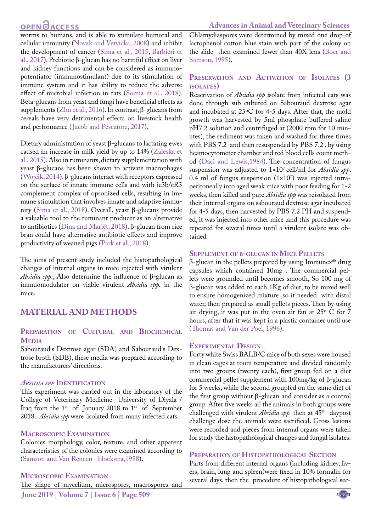## **OPEN**<sub>d</sub>

worms to humans, and is able to stimulate humoral and cellular immunity [\(Novak and Vetvicka, 2008\)](#page-6-2) and inhibit the development of cancer ([Sima et al., 2015](#page-7-1), [Barbieri et](#page-6-3) [al., 2017](#page-6-3)). Prebiotic β-glucan has no harmful effect on liver and kidney functions and can be considered as immunopotentiator (immunostimulant) due to its stimulation of immune system and it has ability to reduce the adverse effect of microbial infection in rats (Somia et al., 2018). Beta-glucans from yeast and fungi have beneficial effects as supplements ([Zhu et al., 2016](#page-7-2)). In contrast, β-glucans from cereals have very detrimental effects on livestock health and performance ([Jacob and Pescatore, 2017\)](#page-6-4).

Dietary administration of yeast β-glucans to lactating ewes caused an increase in milk yield by up to 14% (Zaleska et al., 2015). Also in ruminants, dietary supplementation with yeast β-glucans has been shown to activate macrophages (Wojcik, 2014). β-glucans interact with receptors expressed on the surface of innate immune cells and with ic3b/cR3 complement complex of opsonized cells, resulting in immune stimulation that involves innate and adaptive immunity (Sima et al., 2018). Overall, yeast β-glucans provide a valuable tool to the ruminant producer as an alternative to antibiotics (Dina and Mariët, 2018). β-glucan from rice bran could have alternative antibiotic effects and improve productivity of weaned pigs (Park et al., 2018).

The aims of present study included the histopathological changes of internal organs in mice injected with virulent *Absidia spp*., Also determine the influence of β-glucan as immuomodulater on viable virulent *Absidia spp.* in the mice.

### **Material and Methods**

### **Preparation of Cultural and Biochemical Media**

Sabouraud's Dextrose agar (SDA) and Sabouraud's Dextrose broth (SDB), these media was prepared according to the manufacturers' directions.

#### *Absidia spp* **Identification**

This experiment was carried out in the laboratory of the College of Veterinary Medicine- University of Diyala / Iraq from the  $1^{st}$  of January 2018 to  $1^{st}$  of September 2018. *Absidia spp* were isolated from many infected cats.

### **Macroscopic Examination**

Colonies morphology, color, texture, and other apparent characteristics of the colonies were examined according to [\(Samson and Van Reneen –Hoekstra,1988](#page-7-3))**.**

### **Microscopic Examination**

**June 2019 | Volume 7 | Issue 6 | Page 509** The shape of mycelium, microspores, macrospores and Chlamydiaspores were determined by mixed one drop of lactophenol cotton blue stain with part of the colony on the slide then examined fewer than 40X lens (Boer and Samson, 1995).

### **Preservation and Activation of Isolates (3 isolates)**

Reactivation of *Absidia spp i*solate from infected cats was done through sub cultured on Sabouraud dextrose agar and incubated at 25ºC for 4-5 days. After that, the mold growth was harvested by 5ml phosphate buffered saline pH7.2 solution and centrifuged at (2000 rpm for 10 minutes), the sediment was taken and washed for three times with PBS 7.2 and then resuspended by PBS 7.2 , by using heamocytometer chamber and red blood cells count method (Daci and Lewis,1984). The concentration of fungus suspension was adjusted to 1×107 cell/ml for *Absidia spp*.  $0.4$  ml of fungus suspension  $(1\times10^7)$  was injected intraperitoneally into aged weak mice with poor feeding for 1-2 weeks, then killed and pure *Absidia spp* was reisolated from their internal organs on sabouraud dextrose agar incubated for 4-5 days, then harvested by PBS 7.2 PH and suspended, it was injected into other mice ,and this procedure was repeated for several times until a virulent isolate was obtained

### **Supplement of <sup>β</sup>-glucan in Mice Pellets**

β-glucan in the pellets prepared by using Immunex® drug capsules which contained 10mg . The commercial pellets were grounded until becomes smooth, So 100 mg of β-glucan was added to each 1Kg of diet, to be mixed well to ensure homogenized mixture ,so it needed with distal water, then prepared as small pellets pieces. Then by using air drying, it was put in the oven air fan at 25º C for 7 hours, after that it was kept in a plastic container until use ([Thomas and Van der Poel, 1996](#page-7-4)).

### **Experimental Design**

Forty white Swiss BALB/C mice of both sexes were housed in clean cages at room temperature and divided randomly into two groups (twenty each), first group fed on a diet commercial pellet supplement with 100mg/kg of β-glucan for 5 weeks, while the second groupfed on the same diet of the first group without β-glucan and consider as a control group. After five weeks all the animals in both groups were challenged with virulent *Absidia spp*. then at 45<sup>th</sup> daypost challenge dose the animals were sacrificed. Gross lesions were recorded and pieces from internal organs were taken for study the histopathological changes and fungal isolates.

### **Preparation of Histopathological Section**

Parts from different internal organs (including kidney, livers, brain, lung and spleen)were fixed in 10% formalin for several days, then the procedure of histopathological sec-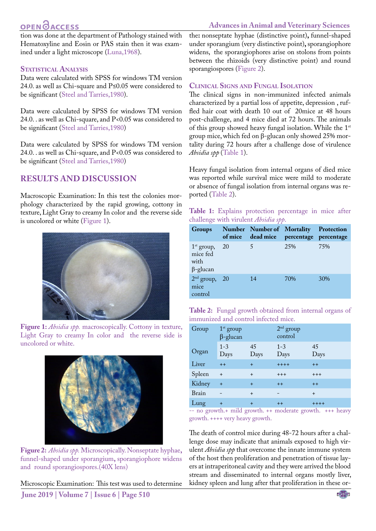## **OPEN**OACCESS

### **Advances in Animal and Veterinary Sciences**

tion was done at the department of Pathology stained with Hematoxyline and Eosin or PAS stain then it was examined under a light microscope (Luna,1968).

### **STATISTICAL ANALYSIS**

Data were calculated with SPSS for windows TM version 24.0. as well as Chi-square and P≤0.05 were considered to be significant [\(Steel and Tarries,1980](#page-7-5)).

Data were calculated by SPSS for windows TM version 24.0. . as well as Chi-square, and P<0.05 was considered to be significant [\(Steel and Tarries,1980](#page-7-5))

Data were calculated by SPSS for windows TM version 24.0. . as well as Chi-square, and P<0.05 was considered to be significant [\(Steel and Tarries,1980](#page-7-5))

### **Results and discussion**

Macroscopic Examination: In this test the colonies morphology characterized by the rapid growing, cottony in texture, Light Gray to creamy In color and the reverse side is uncolored or white ([Figure 1\)](#page-2-0).



**Figure 1:** *Absidia spp.* macroscopically. Cottony in texture, Light Gray to creamy In color and the reverse side is uncolored or white.

<span id="page-2-0"></span>

**Figure 2:** *Absidia spp.* Microscopically. Nonseptate hyphae**,**  funnel-shaped under sporangium**,** sporangiophore widens and round sporangiospores.(40X lens)

<span id="page-2-1"></span>**June 2019 | Volume 7 | Issue 6 | Page 510** Microscopic Examination: This test was used to determine the**:** nonseptate hyphae (distinctive point)**,** funnel-shaped under sporangium (very distinctive point)**,** sporangiophore widens, the sporangiophores arise on stolons from points between the rhizoids (very distinctive point) and round sporangiospores [\(Figure 2\)](#page-2-1).

### **Clinical Signs and Fungal Isolation**

The clinical signs in non-immunized infected animals characterized by a partial loss of appetite, depression , ruffled hair coat with death 10 out of 20mice at 48 hours post-challenge, and 4 mice died at 72 hours. The animals of this group showed heavy fungal isolation. While the 1st group mice, which fed on β-glucan only showed 25% mortality during 72 hours after a challenge dose of virulence *Absidia spp* ([Table 1\)](#page-2-2).

Heavy fungal isolation from internal organs of died mice was reported while survival mice were mild to moderate or absence of fungal isolation from internal organs was reported ([Table 2](#page-2-3)).

#### <span id="page-2-2"></span>**Table 1:** Explains protection percentage in mice after challenge with virulent *Absidia spp*.

| <b>Groups</b>                                       | of mice | Number Number of Mortality Protection<br>dead mice | percentage percentage |     |
|-----------------------------------------------------|---------|----------------------------------------------------|-----------------------|-----|
| $1st$ group,<br>mice fed<br>with<br>$\beta$ -glucan | 20      |                                                    | 25%                   | 75% |
| $2nd$ group, 20<br>mice<br>control                  |         | 14                                                 | 70%                   | 30% |

<span id="page-2-3"></span>

| Table 2: Fungal growth obtained from internal organs of |  |  |  |  |
|---------------------------------------------------------|--|--|--|--|
| immunized and control infected mice.                    |  |  |  |  |

| Group  | $1st$ group<br>$\beta$ -glucan |            | $2nd$ group<br>control |            |
|--------|--------------------------------|------------|------------------------|------------|
| Organ  | $1 - 3$<br>Days                | 45<br>Days | $1 - 3$<br>Days        | 45<br>Days |
| Liver  | $++$                           | $+$        | $+++++$                | $++$       |
| Spleen | $\ddot{}$                      | $+$        | $+++$                  | $+++$      |
| Kidney | $+$                            | $+$        | $++$                   | $++$       |
| Brain  |                                | $+$        |                        | $+$        |
| Lung   | $+$                            | $\ddot{}$  | $++$                   | $++++$     |

-- no growth.+ mild growth. ++ moderate growth. +++ heavy growth. ++++ very heavy growth.

The death of control mice during 48-72 hours after a challenge dose may indicate that animals exposed to high virulent *Absidia spp* that overcome the innate immune system of the host then proliferation and penetration of tissue layers at intraperitoneal cavity and they were arrived the blood stream and disseminated to internal organs mostly liver, kidney spleen and lung after that proliferation in these or-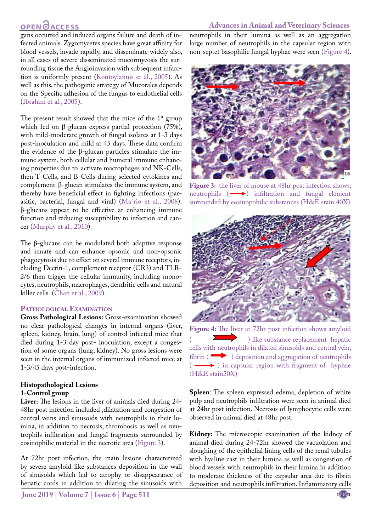#### **Advances in Animal and Veterinary Sciences**

## **OPEN**OACCESS

gans occurred and induced organs failure and death of infected animals. Zygomycetes species have great affinity for blood vessels, invade rapidly, and disseminate widely also, in all cases of severe disseminated mucormycosis the surrounding tissue the Angioinvasion with subsequent infarction is uniformly present ([Kontoyiannis et al., 2005](#page-6-5)). As well as this, the pathogenic strategy of Mucorales depends on the Specific adhesion of the fungus to endothelial cells [\(Ibrahim et al., 2005](#page-6-6)).

The present result showed that the mice of the  $1<sup>st</sup>$  group which fed on β-glucan express partial protection (75%), with mild-moderate growth of fungal isolates at 1-3 days post-inoculation and mild at 45 days. These data confirm the evidence of the β-glucan particles stimulate the immune system, both cellular and humeral immune enhancing properties due to activate macrophages and NK-Cells, then T-Cells, and B-Cells during selected cytokines and complement. β-glucan stimulates the immune system, and thereby have beneficial effect in fighting infections (parasitic, bacterial, fungal and viral) (Ma´rio et al., 2008). β-glucans appear to be effective at enhancing immune function and reducing susceptibility to infection and cancer (Murphy et al., 2010).

The β-glucans can be modulated both adaptive response and innate and can enhance opsonic and non-opsonic phagocytosis due to effect on several immune receptors, including Dectin-1, complement receptor (CR3) and TLR-2/6 then trigger the cellular immunity, including monocytes, neutrophils, macrophages, dendritic cells and natural killer cells ([Chan et al., 2009](#page-6-7)).

#### **Pathological Examination**

**Gross Pathological Lesions:** Gross-examination showed no clear pathological changes in internal organs (liver, spleen, kidney, brain, lung) of control infected mice that died during 1-3 day post- inoculation, except a congestion of some organs (lung, kidney). No gross lesions were seen in the internal organs of immunized infected mice at 1-3/45 days post-infection.

### **Histopathological Lesions 1-Control group**

**Liver:** The lesions in the liver of animals died during 24- 48hr post infection included ,dilatation and congestion of central veins and sinusoids with neutrophils in their lumina, in addition to necrosis, thrombosis as well as neutrophils infiltration and fungal fragments surrounded by eosinophilic material in the necrotic area ([Figure 3](#page-3-0)).

At 72hr post infection, the main lesions characterized by severe amyloid like substances deposition in the wall of sinusoids which led to atrophy or disappearance of hepatic cords in addition to dilating the sinusoids with

**June 2019 | Volume 7 | Issue 6 | Page 511**

neutrophils in their lumina as well as an aggregation large number of neutrophils in the capsular region with non-septet basophilic fungal hyphae were seen ([Figure 4](#page-3-1)).



Figure 3: the liver of mouse at 48hr post infection shows, neutrophils  $(\longrightarrow)$  infiltration and fungal element surrounded by eosinopohilic substances (H&E stain 40X)

<span id="page-3-0"></span>

**Figure 4:** The liver at 72hr post infection shows amyloid ) like substance replacement hepatic cells with neutrophils in dilated sinusoids and central vein, fibrin ( $\longrightarrow$ ) deposition and aggregation of neutrophils  $(\longrightarrow)$  in capsular region with fragment of hyphae (H&E stain20X)

<span id="page-3-1"></span>**Spleen**: The spleen expressed edema, depletion of white pulp and neutrophils infiltration were seen in animal died at 24hr post infection. Necrosis of lymphocytic cells were observed in animal died at 48hr post.

**Kidney:** The microscopic examination of the kidney of animal died during 24-72hr showed the vacuolation and sloughing of the epithelial lining cells of the renal tubules with hyaline cast in their lumina as well as congestion of blood vessels with neutrophils in their lumina in addition to moderate thickness of the capsular area due to fibrin deposition and neutrophils infiltration. Inflammatory cells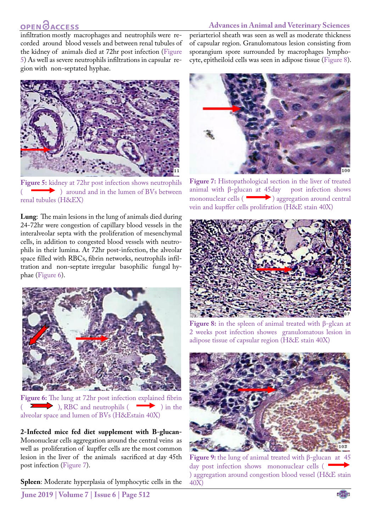### **Advances in Animal and Veterinary Sciences**

## **OPENOACCESS**

infiltration mostly macrophages and neutrophils were recorded around blood vessels and between renal tubules of the kidney of animals died at 72hr post infection [\(Figure](#page-4-0) [5](#page-4-0)) As well as severe neutrophils infiltrations in capsular region with non-septated hyphae.



**Figure 5:** kidney at 72hr post infection shows neutrophils ( $\longrightarrow$ ) around and in the lumen of BVs between renal tubules (H&EX)

<span id="page-4-0"></span>**Lung**: The main lesions in the lung of animals died during 24-72hr were congestion of capillary blood vessels in the interalveolar septa with the proliferation of mesenchymal cells, in addition to congested blood vessels with neutrophils in their lumina. At 72hr post-infection, the alveolar space filled with RBCs, fibrin networks, neutrophils infiltration and non-septate irregular basophilic fungal hyphae ([Figure 6](#page-4-1)).



**Figure 6:** The lung at 72hr post infection explained fibrin  $\sum$ , RBC and neutrophils ( $\sum$ ) in the alveolar space and lumen of BVs (H&Estain 40X)

<span id="page-4-1"></span>**2-Infected mice fed diet supplement with B-glucan-**Mononuclear cells aggregation around the central veins as well as proliferation of kupffer cells are the most common lesion in the liver of the animals sacrificed at day 45th post infection [\(Figure 7\)](#page-4-2).

**Spleen**: Moderate hyperplasia of lymphocytic cells in the

periarteriol sheath was seen as well as moderate thickness of capsular region. Granulomatous lesion consisting from sporangium spore surrounded by macrophages lymphocyte, epitheiloid cells was seen in adipose tissue ([Figure 8](#page-4-3)).



**Figure 7:** Histopathological section in the liver of treated animal with β-glucan at 45day post infection shows mononuclear cells  $\left( \right)$  aggregation around central vein and kupffer cells prolifration (H&E stain 40X)

<span id="page-4-2"></span>

**Figure 8:** in the spleen of animal treated with β-glcan at 2 weeks post infection showes granulomatous lesion in adipose tissue of capsular region (H&E stain 40X)

<span id="page-4-4"></span><span id="page-4-3"></span>

**Figure 9:** the lung of animal treated with β-glucan at 45 day post infection shows mononuclear cells ( ) aggregation around congestion blood vessel (H&E stain 40X)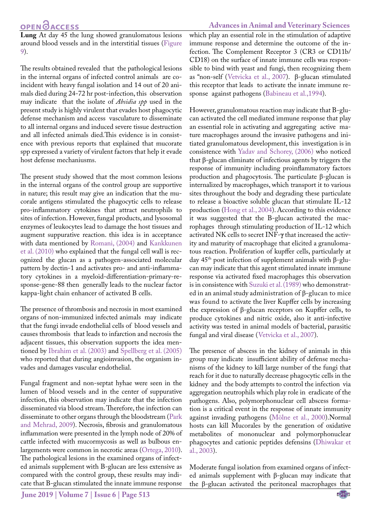## **OPEN**<sub>d</sub>

**Lung** At day 45 the lung showed granulomatous lesions around blood vessels and in the interstitial tissues [\(Figure](#page-4-4) [9](#page-4-4)).

The results obtained revealed that the pathological lesions in the internal organs of infected control animals are coincident with heavy fungal isolation and 14 out of 20 animals died during 24-72 hr post-infection, this observation may indicate that the isolate of *Absidia spp* used in the present study is highly virulent that evades host phagocytic defense mechanism and access vasculature to disseminate to all internal organs and induced severe tissue destruction and all infected animals died.This evidence is in consistence with previous reports that explained that mucorate spp expressed a variety of virulent factors that help it evade host defense mechaniusms.

The present study showed that the most common lesions in the internal organs of the control group are supportive in nature; this result may give an indication that the mucorale antigens stimulated the phagocytic cells to release pro-inflammatory cytokines that attract neutrophils to sites of infection. However, fungal products, and lysosomal enzymes of leukocytes lead to damage the host tissues and augment suppurative reaction. this idea is in acceptance with data mentioned by [Romani, \(2004\)](#page-7-6) and Kankkunen et al. (2010) who explained that the fungal cell wall is recognized the glucan as a pathogen-associated molecular pattern by dectin-1 and activates pro- and anti-inflammatory cytokines in a myeloid-differentiation-primary-response-gene-88 then generally leads to the nuclear factor kappa-light chain enhancer of activated B cells.

The presence of thrombosis and necrosis in most examined organs of non-immunized infected animals may indicate that the fungi invade endothelial cells of blood vessels and causes thrombosis that leads to infarction and necrosis the adjacent tissues, this observation supports the idea mentioned by [Ibrahim et al. \(2003\) a](#page-6-8)nd [Spellberg et al. \(2005\)](#page-7-7) who reported that during angioinvasion, the organism invades and damages vascular endothelial.

Fungal fragment and non-septat hyhae were seen in the lumen of blood vessels and in the center of suppurative infection, this observation may indicate that the infection disseminated via blood stream. Therefore, the infection can disseminate to other organs through the bloodstream ([Park](#page-7-8) [and Mehrad, 2009](#page-7-8)). Necrosis, fibrosis and granulomatous inflammation were presented in the lymph node of 20% of cattle infected with mucormycosis as well as bulbous enlargements were common in necrotic areas ([Ortega, 2010](#page-6-9)). The pathological lesions in the examined organs of infected animals supplement with B-glucan are less extensive as compared with the control group, these results may indicate that B-glucan stimulated the innate immune response

**Advances in Animal and Veterinary Sciences** which play an essential role in the stimulation of adaptive immune response and determine the outcome of the infection. The Complement Receptor 3 (CR3 or CD11b/ CD18) on the surface of innate immune cells was responsible to bind with yeast and fungi, then recognizing them as "non-self (Vetvicka et al., 2007). β-glucan stimulated this receptor that leads to activate the innate immune response against pathogens [\(Babineau et al.,1994](#page-6-10)).

However, granulomatous reaction may indicate that B-glucan activated the cell mediated immune response that play an essential role in activating and aggregating active mature macrophages around the invasive pathogens and initiated granulomatous development, this investigation is in consistence with Yadav and Schorey, (2006) who noticed that β-glucan eliminate of infectious agents by triggers the response of immunity including proinflammatory factors production and phagocytosis. The particulate β-glucan is internalized by macrophages, which transport it to various sites throughout the body and degrading these particulate to release a bioactive soluble glucan that stimulate IL-12 production (Hong et al., 2004). According to this evidence it was suggested that the B-glucan activated the macrophages through stimulating production of IL-12 which activated NK cells to secret INF-**γ** that increased the activity and maturity of macrophage that elicited a granulomatous reaction. Proliferation of kupffer cells, particularly at day 45th post infection of supplement animals with β-glucan may indicate that this agent stimulated innate immune response via activated fixed macrophages this observation is in consistence with Suzuki et al. (1989) who demonstrated in an animal study administration of β-glucan to mice was found to activate the liver Kupffer cells by increasing the expression of β-glucan receptors on Kupffer cells, to produce cytokines and nitric oxide, also it anti-infective activity was tested in animal models of bacterial, parasitic fungal and viral disease (Vetvicka et al., 2007).

The presence of abscess in the kidney of animals in this group may indicate insufficient ability of defense mechanisms of the kidney to kill large number of the fungi that reach for it due to naturally decrease phagocytic cells in the kidney and the body attempts to control the infection via aggregation neutrophils which play role in eradicate of the pathogens. Also, polymorphonuclear cell abscess formation is a critical event in the response of innate immunity against invading pathogens (Mölne et al., 2000).Normal hosts can kill Mucorales by the generation of oxidative metabolites of mononuclear and polymorphonuclear phagocytes and cationic peptides defensins ([Dhiwakar et](#page-6-11)  [al., 2003](#page-6-11)).

Moderate fungal isolation from examined organs of infected animals supplement with β-glucan may indicate that the β-glucan activated the peritoneal macrophages that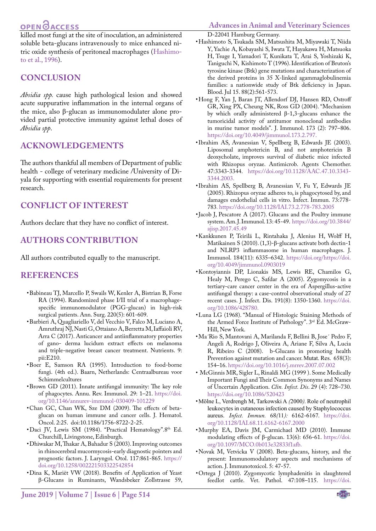## **OPEN**OACCESS

killed most fungi at the site of inoculation, an administered soluble beta-glucans intravenously to mice enhanced nitric oxide synthesis of peritoneal macrophages ([Hashimo](#page-6-12)[to et al., 1996\)](#page-6-12).

## **Conclusion**

*Absidia spp.* cause high pathological lesion and showed acute suppurative inflammation in the internal organs of the mice, also β-glucan as immunomodulater alone provided partial protective immunity against lethal doses of *Absidia spp*.

## **Acknowledgements**

The authors thankful all members of Department of public health - college of veterinary medicine /University of Diyala for supporting with essential requirements for present research.

## **Conflict of Interest**

Authors declare that they have no conflict of interest.

## **Authors Contribution**

All authors contributed equally to the manuscript.

### **REFERENCES**

- <span id="page-6-10"></span>• Babineau TJ, Marcello P, Swails W, Kenler A, Bistrian B, Forse RA (1994). Randomized phase I/II trial of a macrophagespecific immunomodulator (PGG-glucan) in high-risk surgical patients. Ann. Surg. 220(5): 601-609.
- <span id="page-6-3"></span>• Barbieri A, Quagliariello V, del Vecchio V, Falco M, Luciano A, Amruthraj NJ, Nasti G, Ottaiano A, Berretta M, Iaffaioli RV, Arra C (2017). Anticancer and antiinflammatory properties of gano- derma lucidum extract effects on melanoma and triple-negative breast cancer treatment. Nutrients. 9: pii:E210.
- • Boer E, Samson RA (1995). Introduction to food-borne fungi. (4th ed.). Baarn, Netherlands: Centraalbureau voor Schimmelcultures
- <span id="page-6-1"></span>• Brown GD (2011). Innate antifungal immunity: The key role of phagocytes. Annu. Rev. Immunol. 29: 1–21. [https://doi.](https://doi.org/10.1146/annurev-immunol-030409-101229 ) [org/10.1146/annurev-immunol-030409-101229](https://doi.org/10.1146/annurev-immunol-030409-101229 )
- <span id="page-6-7"></span>• Chan GC, Chan WK, Sze DM (2009). The effects of betaglucan on human immune and cancer cells. J. Hematol. Oncol. 2:25. doi:10.1186/1756-8722-2-25.
- Daci JV, Lewis SM (1984). "Practical Hematology".8th Ed. Churchill, Livingstone, Edinburgh.
- <span id="page-6-11"></span>• Dhiwakar M, Thakar A, Bahadur S (2003). Improving outcomes in rhinocerebral mucormycosis-early diagnostic pointers and prognostic factors. J. Laryngol. Otol. 117:861-865. [https://](https://doi.org/10.1258/002221503322542854 ) [doi.org/10.1258/002221503322542854](https://doi.org/10.1258/002221503322542854 )
- • Dina K, Mariët VW (2018). Benefits of Application of Yeast β-Glucans in Ruminants, Wandsbeker Zollstrasse 59,

<span id="page-6-12"></span>D-22041 Hamburg Germany.

- • Hashimoto S, Tsukada SM, Matsushita M, Miyawaki T, Niida Y, Yachie A, Kobayashi S, Iwata T, Hayakawa H, Matsuoka H, Tsuge I, Yamadori T, Kunikata T, Arai S, Yoshizaki K, Taniguchi N, Kishimoto T (1996). Identification of Bruton's tyrosine kinase (Btk) gene mutations and characterization of the derived proteins in 35 X-linked agammaglobulinemia families: a nationwide study of Btk deficiency in Japan. Blood. Jul 15. 88(2):561-573.
- • Hong F, Yan J, Baran JT, Allendorf DJ, Hansen RD, Ostroff GR, Xing PX, Cheung NK, Ross GD (2004). "Mechanism by which orally administered β-1,3-glucans enhance the tumoricidal activity of antitumor monoclonal antibodies in murine tumor models". J. Immunol. 173 (2): 797–806. [https://doi.org/10.4049/jimmunol.173.2.797.](https://doi.org/10.4049/jimmunol.173.2.797. )
- <span id="page-6-8"></span>• Ibrahim AS, Avanessian V, Spellberg B, Edwards JE (2003). Liposomal amphotericin B, and not amphotericin B deoxycholate, improves survival of diabetic mice infected with Rhizopus oryzae. Antimicrob. Agents Chemother. 47:3343-3344. [https://doi.org/10.1128/AAC.47.10.3343-](https://doi.org/10.1128/AAC.47.10.3343-3344.2003. ) [3344.2003.](https://doi.org/10.1128/AAC.47.10.3343-3344.2003. )
- <span id="page-6-6"></span>• Ibrahim AS, Spellberg B, Avanessian V, Fu Y, Edwards JE (2005). Rhizopus oryzae adheres to, is phagocytosed by, and damages endothelial cells in vitro. Infect. Immun. 73:778- 783. <https://doi.org/10.1128/IAI.73.2.778-783.2005>
- <span id="page-6-4"></span>• Jacob J, Pescatore A (2017). Glucans and the Poultry immune system. Am. J. Immunol. 13: 45-49[. https://doi.org/10.3844/]( https://doi.org/10.3844/ajisp.2017.45.49 ) [ajisp.2017.45.49]( https://doi.org/10.3844/ajisp.2017.45.49 )
- • Kankkunen P, Teirilä L, Rintahaka J, Alenius H, Wolff H, Matikainen S (2010). (1,3)-β-glucans activate both dectin-1 and NLRP3 inflammasome in human macrophages. J. Immunol. 184(11): 6335–6342. [https://doi.org/https://doi.](https://doi.org/https://doi.org/10.4049/jimmunol.0903019 ) [org/10.4049/jimmunol.0903019](https://doi.org/https://doi.org/10.4049/jimmunol.0903019 )
- <span id="page-6-5"></span>• Kontoyiannis DP, Lionakis MS, Lewis RE, Chamilos G, Healy M, Perego C, Safdar A (2005). Zygomycosis in a tertiary-care cancer center in the era of Aspergillus-active antifungal therapy: a case-control observational study of 27 recent cases. J. Infect. Dis. 191(8): 1350-1360. [https://doi.](https://doi.org/10.1086/428780. ) [org/10.1086/428780.](https://doi.org/10.1086/428780. )
- • Luna LG (1968). "Manual of Histologic Staining Methods of the Armed Force Institute of Pathology". 3rd Ed. McGraw-Hill, New York.
- • Ma´Rio S, Mantovani A, Marilanda F, Bellini B, Jose´ Pedro F, Angeli A, Rodrigo J, Oliveira A, Ariane F, Silva A, Lucia R, Ribeiro C (2008). b-Glucans in promoting health Prevention against mutation and cancer. Mutat. Res. 658(3): 154–16. [https://doi.org/10.1016/j.mrrev.2007.07.002](https://doi.org/10.1016/j.mrrev.2007.07.002 )
- <span id="page-6-0"></span>• McGinnis MR, Sigler L, Rinaldi MG (1999 ). Some Medically Important Fungi and Their Common Synonyms and Names of Uncertain Application. *Clin. Infect. Dis*. 29 (4): 728–730. [https://doi.org/10.1086/520423](https://doi.org/10.1086/520423 )
- • Mölne L, Verdrengh M, Tarkowski A *(*2000*).* Role of neutrophil leukocytes in cutaneous infection caused by Staphylococcus aureus. *Infect. Immun.* 68*(*11*):* 6162*-*6167*.* [https://doi.](https://doi.org/10.1128/IAI.68.11.6162-6167.2000 ) [org/10.1128/IAI.68.11.6162-6167.2000](https://doi.org/10.1128/IAI.68.11.6162-6167.2000 )
- • Murphy EA, Davis JM, Carmichael MD (2010). Immune modulating effects of β-glucan. 13(6): 656-61. [https://doi.](https://doi.org/10.1097/MCO.0b013e32833f1afb. ) [org/10.1097/MCO.0b013e32833f1afb.](https://doi.org/10.1097/MCO.0b013e32833f1afb. )
- <span id="page-6-2"></span>• Novak M, Vetvicka V (2008). Beta-glucans, history, and the present: Immunomodulatory aspects and mechanisms of action. J. Immunotoxicol. 5: 47-57.
- <span id="page-6-9"></span>• Ortega J (2010). Zygomycotic lymphadenitis in slaughtered feedlot cattle. Vet. Pathol. 47:108–115. [https://doi.](https://doi.org/10.1177/0300985809352975.)